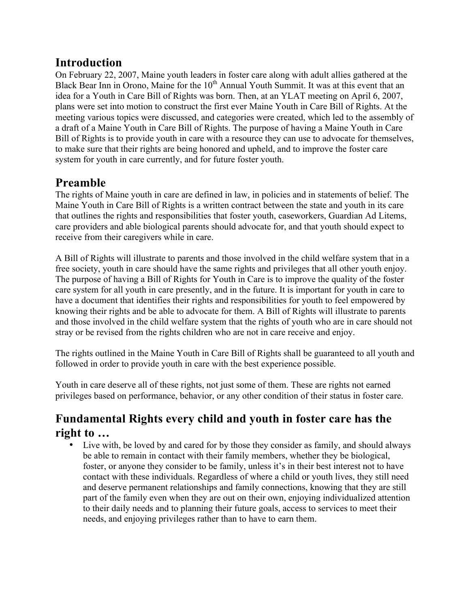## **Introduction**

On February 22, 2007, Maine youth leaders in foster care along with adult allies gathered at the Black Bear Inn in Orono, Maine for the 10<sup>th</sup> Annual Youth Summit. It was at this event that an idea for a Youth in Care Bill of Rights was born. Then, at an YLAT meeting on April 6, 2007, plans were set into motion to construct the first ever Maine Youth in Care Bill of Rights. At the meeting various topics were discussed, and categories were created, which led to the assembly of a draft of a Maine Youth in Care Bill of Rights. The purpose of having a Maine Youth in Care Bill of Rights is to provide youth in care with a resource they can use to advocate for themselves, to make sure that their rights are being honored and upheld, and to improve the foster care system for youth in care currently, and for future foster youth.

## **Preamble**

The rights of Maine youth in care are defined in law, in policies and in statements of belief. The Maine Youth in Care Bill of Rights is a written contract between the state and youth in its care that outlines the rights and responsibilities that foster youth, caseworkers, Guardian Ad Litems, care providers and able biological parents should advocate for, and that youth should expect to receive from their caregivers while in care.

A Bill of Rights will illustrate to parents and those involved in the child welfare system that in a free society, youth in care should have the same rights and privileges that all other youth enjoy. The purpose of having a Bill of Rights for Youth in Care is to improve the quality of the foster care system for all youth in care presently, and in the future. It is important for youth in care to have a document that identifies their rights and responsibilities for youth to feel empowered by knowing their rights and be able to advocate for them. A Bill of Rights will illustrate to parents and those involved in the child welfare system that the rights of youth who are in care should not stray or be revised from the rights children who are not in care receive and enjoy.

The rights outlined in the Maine Youth in Care Bill of Rights shall be guaranteed to all youth and followed in order to provide youth in care with the best experience possible.

Youth in care deserve all of these rights, not just some of them. These are rights not earned privileges based on performance, behavior, or any other condition of their status in foster care.

## **Fundamental Rights every child and youth in foster care has the right to …**

• Live with, be loved by and cared for by those they consider as family, and should always be able to remain in contact with their family members, whether they be biological, foster, or anyone they consider to be family, unless it's in their best interest not to have contact with these individuals. Regardless of where a child or youth lives, they still need and deserve permanent relationships and family connections, knowing that they are still part of the family even when they are out on their own, enjoying individualized attention to their daily needs and to planning their future goals, access to services to meet their needs, and enjoying privileges rather than to have to earn them.